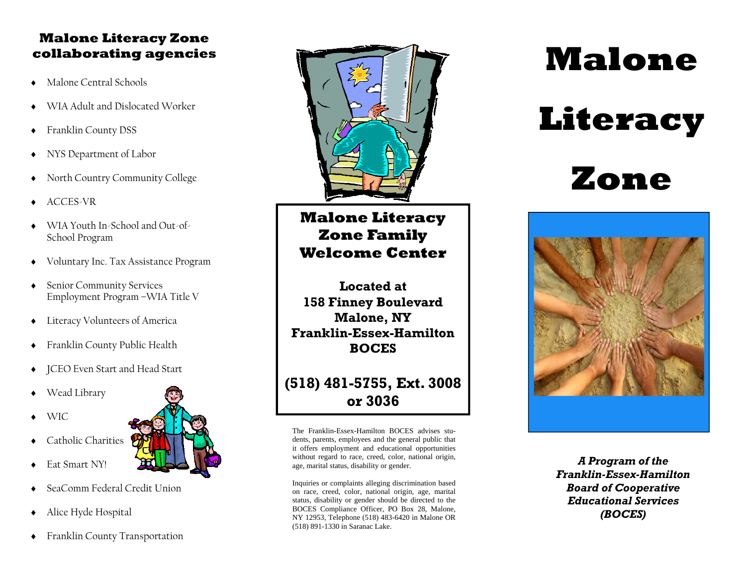#### **Malone Literacy Zone collaborating agencies**

- $\bullet$ Malone Central Schools
- ٠ WIA Adult and Dislocated Worker
- $\bullet$ Franklin County DSS
- ٠ NYS Department of Labor
- ٠ North Country Community College
- ٠ ACCES-VR
- WIA Youth In-School and Out-of-School Program
- $\blacklozenge$ Voluntary Inc. Tax Assistance Program
- $\bullet$  Senior Community Services Employment Program –WIA Title V
- $\blacklozenge$ Literacy Volunteers of America
- $\bullet$ Franklin County Public Health
- ٠ JCEO Even Start and Head Start
- ٠ Wead Library
- ٠ WIC

٠

٠

- Catholic Charities
- ٠ SeaComm Federal Credit Union
- $\blacklozenge$ Alice Hyde Hospital

Eat Smart NY!

 $\blacklozenge$ Franklin County Transportation



**Malone Literacy Zone Family Welcome Center** 

**Located at 158 Finney Boulevard Malone, NY Franklin-Essex-Hamilton BOCES** 

# **(518) 481-5755, Ext. 3008 or 3036**

The Franklin-Essex-Hamilton BOCES advises students, parents, employees and the general public that it offers employment and educational opportunities without regard to race, creed, color, national origin, age, marital status, disability or gender.

Inquiries or complaints alleging discrimination based on race, creed, color, national origin, age, marital status, disability or gender should be directed to the BOCES Compliance Officer, PO Box 28, Malone, NY 12953, Telephone (518) 483-6420 in Malone OR (518) 891-1330 in Saranac Lake.

# **Malone**

# **Literacy**

# **Zone**



*A Program of the Franklin-Essex-Hamilton Board of Cooperative Educational Services (BOCES)*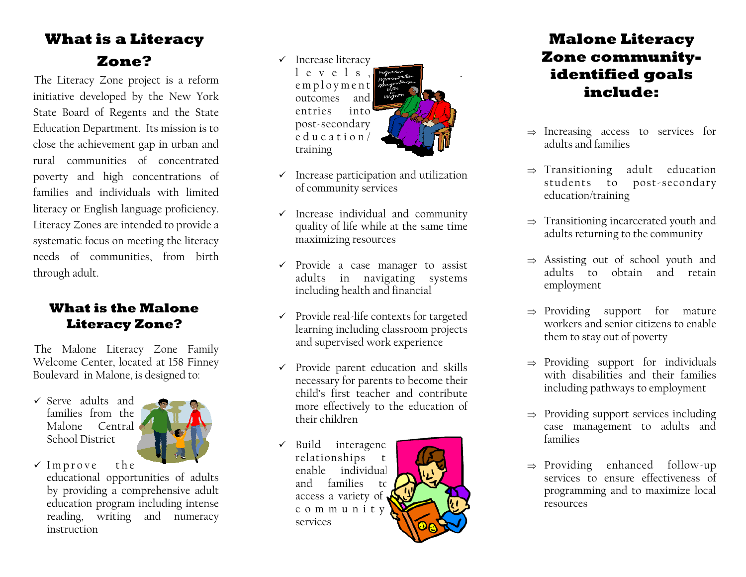# **What is a Literacy Zone?**

The Literacy Zone project is a reform initiative developed by the New York State Board of Regents and the State Education Department. Its mission is to close the achievement gap in urban and rural communities of concentrated poverty and high concentrations of families and individuals with limited literacy or English language proficiency. Literacy Zones are intended to provide a systematic focus on meeting the literacy needs of communities, from birth through adult.

### **What is the Malone Literacy Zone?**

The Malone Literacy Zone Family Welcome Center, located at 158 Finney Boulevard in Malone, is designed to:

 $\checkmark$  Serve adults and families from the Malone Central School District



 $\checkmark$  Improve the educational opportunities of adults by providing a comprehensive adult education program including intense reading, writing and numeracy instruction

- $\checkmark$  Increase literacy l e v e l s employment outcomes and entries into post-secondary education/ training
- $\checkmark$  Increase participation and utilization of community services
- $\checkmark$  Increase individual and community quality of life while at the same time maximizing resources
- $\checkmark$  Provide a case manager to assist adults in navigating systems including health and financial
- $\checkmark$  Provide real-life contexts for targeted learning including classroom projects and supervised work experience
- $\checkmark$  Provide parent education and skills necessary for parents to become their child's first teacher and contribute more effectively to the education of their children
- $\checkmark$  Build interagency relationships to enable individual and families to access a variety of <sup>c</sup> <sup>o</sup> <sup>m</sup> <sup>m</sup> <sup>u</sup> <sup>n</sup> i <sup>t</sup> y services



# **Malone Literacy Zone communityidentified goals include:**

- $\Rightarrow$  Increasing access to services for adults and families
- $\Rightarrow$  Transitioning adult education students to post-secondary education/training
- $\Rightarrow$  Transitioning incarcerated youth and adults returning to the community
- $\Rightarrow$  Assisting out of school youth and adults to obtain and retain employment
- $\Rightarrow$  Providing support for mature workers and senior citizens to enable them to stay out of poverty
- $\Rightarrow$  Providing support for individuals with disabilities and their families including pathways to employment
- $\Rightarrow$  Providing support services including case management to adults and families
- $\Rightarrow$  Providing enhanced follow-up services to ensure effectiveness of programming and to maximize local resources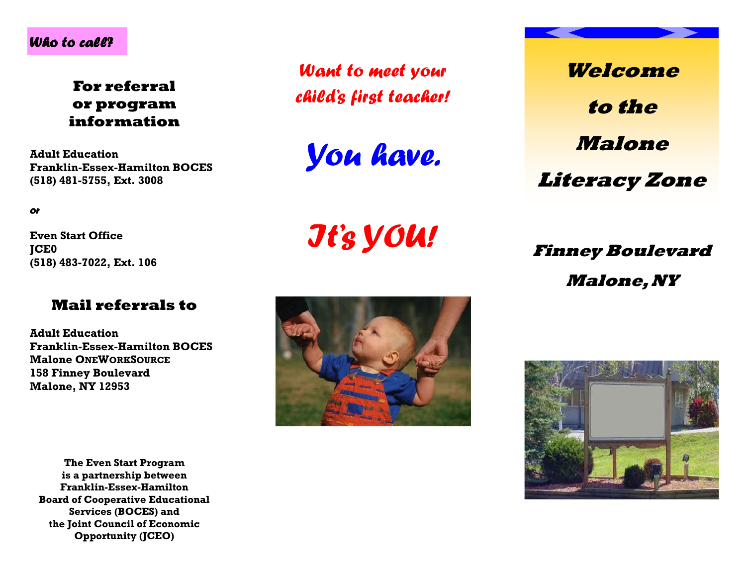#### *Who to call?*

**For referral or program information** 

**Adult Education Franklin-Essex-Hamilton BOCES (518) 481-5755, Ext. 3008** 

*or* 

**Even Start Office JCE0 (518) 483-7022, Ext. 106** 

#### **Mail referrals to**

**Adult Education Franklin-Essex-Hamilton BOCES Malone ONEWORKSOURCE158 Finney Boulevard Malone, NY 12953** 

**The Even Start Program is a partnership between Franklin-Essex-Hamilton Board of Cooperative Educational Services (BOCES) and the Joint Council of Economic Opportunity (JCEO)** 

*Want to meet your child's first teacher!* 

*You have.*

*It's YOU!* 



**Welcome to the Malone Literacy Zone** 

**Finney Boulevard Malone, NY**